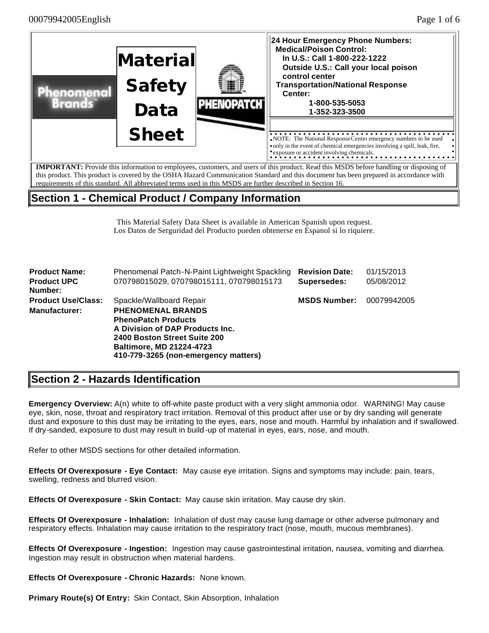

# **Section 1 - Chemical Product / Company Information**

This Material Safety Data Sheet is available in American Spanish upon request. Los Datos de Serguridad del Producto pueden obtenerse en Espanol si lo riquiere.

| <b>Product Name:</b>      | Phenomenal Patch-N-Paint Lightweight Spackling | <b>Revision Date:</b> | 01/15/2013  |
|---------------------------|------------------------------------------------|-----------------------|-------------|
| <b>Product UPC</b>        | 070798015029, 070798015111, 070798015173       | Supersedes:           | 05/08/2012  |
| Number:                   |                                                |                       |             |
| <b>Product Use/Class:</b> | Spackle/Wallboard Repair                       | <b>MSDS Number:</b>   | 00079942005 |
| <b>Manufacturer:</b>      | <b>PHENOMENAL BRANDS</b>                       |                       |             |
|                           | <b>PhenoPatch Products</b>                     |                       |             |
|                           | A Division of DAP Products Inc.                |                       |             |
|                           | 2400 Boston Street Suite 200                   |                       |             |
|                           | <b>Baltimore, MD 21224-4723</b>                |                       |             |
|                           | 410-779-3265 (non-emergency matters)           |                       |             |

# **Section 2 - Hazards Identification**

**Emergency Overview:** A(n) white to off-white paste product with a very slight ammonia odor. WARNING! May cause eye, skin, nose, throat and respiratory tract irritation. Removal of this product after use or by dry sanding will generate dust and exposure to this dust may be irritating to the eyes, ears, nose and mouth. Harmful by inhalation and if swallowed. If dry-sanded, exposure to dust may result in build -up of material in eyes, ears, nose, and mouth.

Refer to other MSDS sections for other detailed information.

**Effects Of Overexposure - Eye Contact:** May cause eye irritation. Signs and symptoms may include: pain, tears, swelling, redness and blurred vision.

**Effects Of Overexposure - Skin Contact:** May cause skin irritation. May cause dry skin.

**Effects Of Overexposure - Inhalation:** Inhalation of dust may cause lung damage or other adverse pulmonary and respiratory effects. Inhalation may cause irritation to the respiratory tract (nose, mouth, mucous membranes).

**Effects Of Overexposure - Ingestion:** Ingestion may cause gastrointestinal irritation, nausea, vomiting and diarrhea. Ingestion may result in obstruction when material hardens.

**Effects Of Overexposure - Chronic Hazards:** None known.

**Primary Route(s) Of Entry:** Skin Contact, Skin Absorption, Inhalation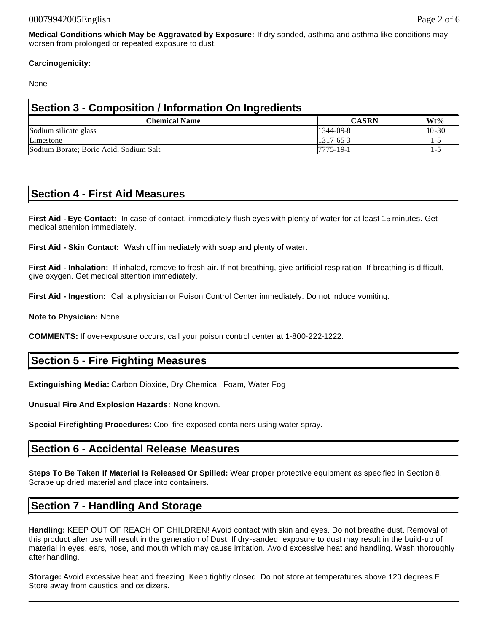### **Carcinogenicity:**

None

| Section 3 - Composition / Information On Ingredients |                 |           |  |  |  |
|------------------------------------------------------|-----------------|-----------|--|--|--|
| <b>Chemical Name</b>                                 | <b>CASRN</b>    | $Wt\%$    |  |  |  |
| Sodium silicate glass                                | 1344-09-8       | $10 - 30$ |  |  |  |
| Limestone                                            | $1317 - 65 - 3$ | l -^      |  |  |  |
| Sodium Borate; Boric Acid, Sodium Salt               | 7775-19-1       | 1 - L     |  |  |  |

# **Section 4 - First Aid Measures**

**First Aid - Eye Contact:** In case of contact, immediately flush eyes with plenty of water for at least 15 minutes. Get medical attention immediately.

**First Aid - Skin Contact:** Wash off immediately with soap and plenty of water.

**First Aid - Inhalation:** If inhaled, remove to fresh air. If not breathing, give artificial respiration. If breathing is difficult, give oxygen. Get medical attention immediately.

**First Aid - Ingestion:** Call a physician or Poison Control Center immediately. Do not induce vomiting.

**Note to Physician:** None.

**COMMENTS:** If over-exposure occurs, call your poison control center at 1-800-222-1222.

# **Section 5 - Fire Fighting Measures**

**Extinguishing Media:** Carbon Dioxide, Dry Chemical, Foam, Water Fog

**Unusual Fire And Explosion Hazards:** None known.

**Special Firefighting Procedures:** Cool fire-exposed containers using water spray.

### **Section 6 - Accidental Release Measures**

**Steps To Be Taken If Material Is Released Or Spilled:** Wear proper protective equipment as specified in Section 8. Scrape up dried material and place into containers.

# **Section 7 - Handling And Storage**

**Handling:** KEEP OUT OF REACH OF CHILDREN! Avoid contact with skin and eyes. Do not breathe dust. Removal of this product after use will result in the generation of Dust. If dry-sanded, exposure to dust may result in the build-up of material in eyes, ears, nose, and mouth which may cause irritation. Avoid excessive heat and handling. Wash thoroughly after handling.

**Storage:** Avoid excessive heat and freezing. Keep tightly closed. Do not store at temperatures above 120 degrees F. Store away from caustics and oxidizers.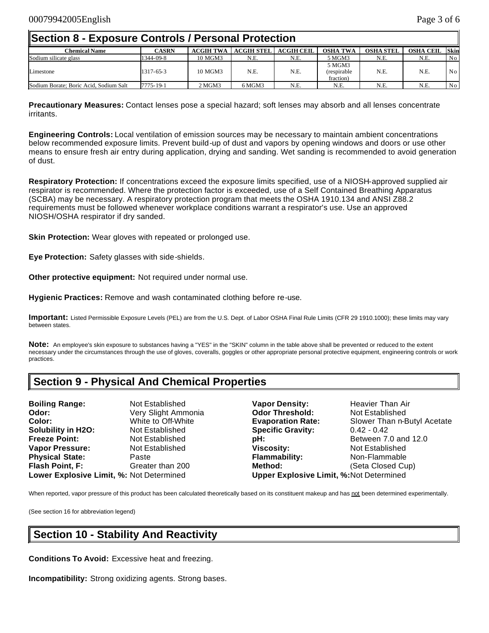### **Section 8 - Exposure Controls / Personal Protection**

| <b>Chemical Name</b>                   | <b>CASRN</b> | <b>ACGIH TWA</b> | <b>ACGIH STEL</b> | <b>ACGIH CEIL</b> | <b>OSHA TWA</b>                    | <b>OSHA STEL</b> | <b>OSHA CEIL</b> | <b>Skin</b> |
|----------------------------------------|--------------|------------------|-------------------|-------------------|------------------------------------|------------------|------------------|-------------|
| Sodium silicate glass                  | 1344-09-8    | 10 MGM3          | N.E.              | N.E.              | 5 MGM3                             | N.E.             | N.E.             | No          |
| Limestone                              | 1317-65-3    | 10 MGM3          | N.E.              | N.E.              | 5 MGM3<br>(respirable<br>fraction) | N.E.             | N.E.             | No          |
| Sodium Borate: Boric Acid. Sodium Salt | 7775-19-1    | 2 MGM3           | 6 MGM3            | N.E.              | N.E.                               | N.E.             | N.E              | No          |

**Precautionary Measures:** Contact lenses pose a special hazard; soft lenses may absorb and all lenses concentrate irritants.

**Engineering Controls:** Local ventilation of emission sources may be necessary to maintain ambient concentrations below recommended exposure limits. Prevent build-up of dust and vapors by opening windows and doors or use other means to ensure fresh air entry during application, drying and sanding. Wet sanding is recommended to avoid generation of dust.

**Respiratory Protection:** If concentrations exceed the exposure limits specified, use of a NIOSH-approved supplied air respirator is recommended. Where the protection factor is exceeded, use of a Self Contained Breathing Apparatus (SCBA) may be necessary. A respiratory protection program that meets the OSHA 1910.134 and ANSI Z88.2 requirements must be followed whenever workplace conditions warrant a respirator's use. Use an approved NIOSH/OSHA respirator if dry sanded.

**Skin Protection:** Wear gloves with repeated or prolonged use.

**Eye Protection:** Safety glasses with side-shields.

**Other protective equipment:** Not required under normal use.

**Hygienic Practices:** Remove and wash contaminated clothing before re-use.

**Important:** Listed Permissible Exposure Levels (PEL) are from the U.S. Dept. of Labor OSHA Final Rule Limits (CFR 29 1910.1000); these limits may vary between states.

**Note:** An employee's skin exposure to substances having a "YES" in the "SKIN" column in the table above shall be prevented or reduced to the extent necessary under the circumstances through the use of gloves, coveralls, goggles or other appropriate personal protective equipment, engineering controls or work practices.

# **Section 9 - Physical And Chemical Properties**

**Boiling Range:** Not Established **Vapor Density:** Heavier Than Air **Odor:** Very Slight Ammonia **Odor Threshold:** Not Established **Color:** White to Off-White **Evaporation Rate:** Slower Than n-Butyl Acetate **Solubility in H2O:** Not Established **Specific Gravity:** 0.42 - 0.42 **Freeze Point: Not Established pH: Preeze Point:** Between 7.0 and 12.0 **Vapor Pressure:** Not Established **Viscosity:** Not Established **Physical State:** Paste **Flammability:** Non-Flammable **Flash Point, F:** Greater than 200 **Method:** (Seta Closed Cup) **Lower Explosive Limit, %:** Not Determined **Upper Explosive Limit, %:**Not Determined

When reported, vapor pressure of this product has been calculated theoretically based on its constituent makeup and has not been determined experimentally.

(See section 16 for abbreviation legend)

# **Section 10 - Stability And Reactivity**

**Conditions To Avoid:** Excessive heat and freezing.

**Incompatibility:** Strong oxidizing agents. Strong bases.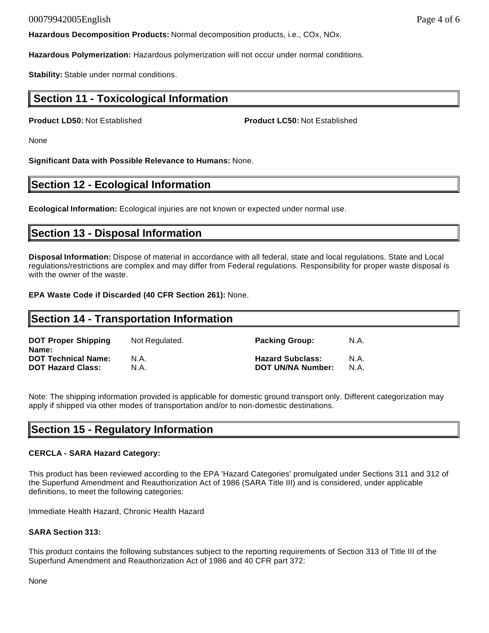#### 00079942005English Page 4 of 6

**Hazardous Decomposition Products:** Normal decomposition products, i.e., COx, NOx.

**Hazardous Polymerization:** Hazardous polymerization will not occur under normal conditions.

**Stability:** Stable under normal conditions.

## **Section 11 - Toxicological Information**

**Product LD50:** Not Established **Product LC50:** Not Established

None

**Significant Data with Possible Relevance to Humans:** None.

## **Section 12 - Ecological Information**

**Ecological Information:** Ecological injuries are not known or expected under normal use.

## **Section 13 - Disposal Information**

**Disposal Information:** Dispose of material in accordance with all federal, state and local regulations. State and Local regulations/restrictions are complex and may differ from Federal regulations. Responsibility for proper waste disposal is with the owner of the waste.

**EPA Waste Code if Discarded (40 CFR Section 261):** None.

#### **Section 14 - Transportation Information DOT Proper Shipping Name:** Not Regulated. **Packing Group:** N.A. **DOT Technical Name:** N.A. **Hazard Subclass:** N.A. **DOT Hazard Class:** N.A. **DOT UN/NA Number:** N.A.

Note: The shipping information provided is applicable for domestic ground transport only. Different categorization may apply if shipped via other modes of transportation and/or to non-domestic destinations.

# **Section 15 - Regulatory Information**

### **CERCLA - SARA Hazard Category:**

This product has been reviewed according to the EPA 'Hazard Categories' promulgated under Sections 311 and 312 of the Superfund Amendment and Reauthorization Act of 1986 (SARA Title III) and is considered, under applicable definitions, to meet the following categories:

Immediate Health Hazard, Chronic Health Hazard

### **SARA Section 313:**

This product contains the following substances subject to the reporting requirements of Section 313 of Title III of the Superfund Amendment and Reauthorization Act of 1986 and 40 CFR part 372:

None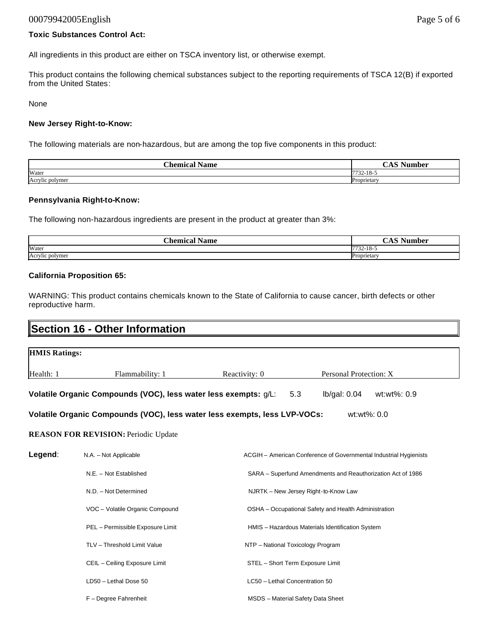#### 00079942005English Page 5 of 6

#### **Toxic Substances Control Act:**

All ingredients in this product are either on TSCA inventory list, or otherwise exempt.

This product contains the following chemical substances subject to the reporting requirements of TSCA 12(B) if exported from the United States:

None

#### **New Jersey Right-to-Know:**

The following materials are non-hazardous, but are among the top five components in this product:

| $\sim$<br>'hamiag<br>Name  | $\sim$<br>ست<br>$-$     |
|----------------------------|-------------------------|
| Water                      | 7722<br>10<br>$22 - 10$ |
| $\cdot$<br>Acrylic polymer | Proprietary             |

#### **Pennsylvania Right-to-Know:**

The following non-hazardous ingredients are present in the product at greater than 3%:

| $n_{\rm homion}$<br>Name | $\mathbf{A}$              |
|--------------------------|---------------------------|
| Water                    | ---<br>$\sim$<br><br>-10- |
| Acrylic polymer          | $Dr_{OMT}$<br>тем         |

#### **California Proposition 65:**

WARNING: This product contains chemicals known to the State of California to cause cancer, birth defects or other reproductive harm.

| <b>Section 16 - Other Information</b> |                                                                                                                                                          |                                                             |                                                                   |  |  |
|---------------------------------------|----------------------------------------------------------------------------------------------------------------------------------------------------------|-------------------------------------------------------------|-------------------------------------------------------------------|--|--|
| <b>HMIS Ratings:</b>                  |                                                                                                                                                          |                                                             |                                                                   |  |  |
| Health: 1                             | Flammability: 1                                                                                                                                          | Reactivity: 0                                               | Personal Protection: X                                            |  |  |
|                                       | Volatile Organic Compounds (VOC), less water less exempts: g/L:                                                                                          |                                                             | 5.3<br>lb/gal: 0.04<br>wt:wt%: 0.9                                |  |  |
|                                       | Volatile Organic Compounds (VOC), less water less exempts, less LVP-VOCs:                                                                                |                                                             | wt:wt%: 0.0                                                       |  |  |
|                                       | <b>REASON FOR REVISION: Periodic Update</b>                                                                                                              |                                                             |                                                                   |  |  |
| Legend:<br>N.A. - Not Applicable      |                                                                                                                                                          |                                                             | ACGIH - American Conference of Governmental Industrial Hygienists |  |  |
|                                       | N.E. - Not Established                                                                                                                                   | SARA - Superfund Amendments and Reauthorization Act of 1986 |                                                                   |  |  |
|                                       | N.D. - Not Determined<br>NJRTK - New Jersey Right-to-Know Law<br>VOC - Volatile Organic Compound<br>OSHA - Occupational Safety and Health Administration |                                                             |                                                                   |  |  |
|                                       |                                                                                                                                                          |                                                             |                                                                   |  |  |
|                                       | PEL - Permissible Exposure Limit                                                                                                                         | HMIS - Hazardous Materials Identification System            |                                                                   |  |  |
|                                       | TLV - Threshold Limit Value                                                                                                                              |                                                             | NTP - National Toxicology Program                                 |  |  |
|                                       | CEIL - Ceiling Exposure Limit                                                                                                                            |                                                             | STEL - Short Term Exposure Limit                                  |  |  |
|                                       | LD50 - Lethal Dose 50                                                                                                                                    | LC50 - Lethal Concentration 50                              |                                                                   |  |  |
|                                       | F - Degree Fahrenheit                                                                                                                                    |                                                             | <b>MSDS</b> - Material Safety Data Sheet                          |  |  |